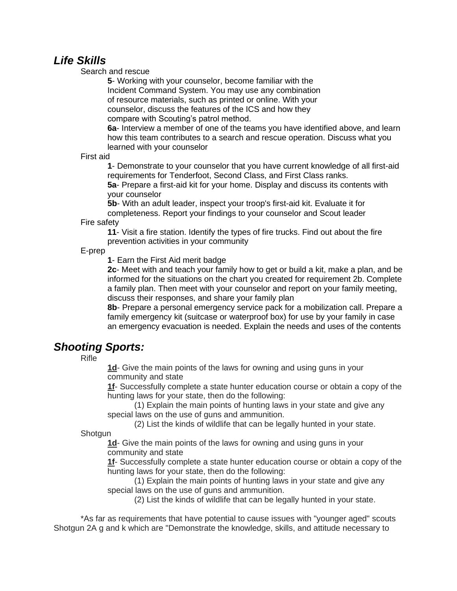# *Life Skills*

Search and rescue

**5**- Working with your counselor, become familiar with the Incident Command System. You may use any combination of resource materials, such as printed or online. With your counselor, discuss the features of the ICS and how they compare with Scouting's patrol method.

**6a**- Interview a member of one of the teams you have identified above, and learn how this team contributes to a search and rescue operation. Discuss what you learned with your counselor

### First aid

**1**- Demonstrate to your counselor that you have current knowledge of all first-aid requirements for Tenderfoot, Second Class, and First Class ranks.

**5a**- Prepare a first-aid kit for your home. Display and discuss its contents with your counselor

**5b**- With an adult leader, inspect your troop's first-aid kit. Evaluate it for completeness. Report your findings to your counselor and Scout leader

## Fire safety

**11**- Visit a fire station. Identify the types of fire trucks. Find out about the fire prevention activities in your community

E-prep

**1**- Earn the First Aid merit badge

**2c**- Meet with and teach your family how to get or build a kit, make a plan, and be informed for the situations on the chart you created for requirement 2b. Complete a family plan. Then meet with your counselor and report on your family meeting, discuss their responses, and share your family plan

**8b**- Prepare a personal emergency service pack for a mobilization call. Prepare a family emergency kit (suitcase or waterproof box) for use by your family in case an emergency evacuation is needed. Explain the needs and uses of the contents

# *Shooting Sports:*

Rifle

**1d**- Give the main points of the laws for owning and using guns in your community and state

**1f**- Successfully complete a state hunter education course or obtain a copy of the hunting laws for your state, then do the following:

(1) Explain the main points of hunting laws in your state and give any special laws on the use of guns and ammunition.

(2) List the kinds of wildlife that can be legally hunted in your state.

**Shotaun** 

**1d**- Give the main points of the laws for owning and using guns in your community and state

**1f**- Successfully complete a state hunter education course or obtain a copy of the hunting laws for your state, then do the following:

(1) Explain the main points of hunting laws in your state and give any special laws on the use of guns and ammunition.

(2) List the kinds of wildlife that can be legally hunted in your state.

\*As far as requirements that have potential to cause issues with "younger aged" scouts Shotgun 2A g and k which are "Demonstrate the knowledge, skills, and attitude necessary to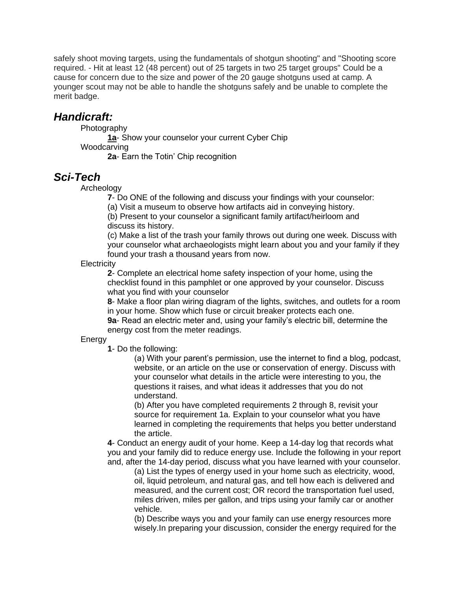safely shoot moving targets, using the fundamentals of shotgun shooting" and "Shooting score required. - Hit at least 12 (48 percent) out of 25 targets in two 25 target groups" Could be a cause for concern due to the size and power of the 20 gauge shotguns used at camp. A younger scout may not be able to handle the shotguns safely and be unable to complete the merit badge.

# *Handicraft:*

Photography

**1a**- Show your counselor your current Cyber Chip **Woodcarving** 

**2a**- Earn the Totin' Chip recognition

# *Sci-Tech*

Archeology

**7**- Do ONE of the following and discuss your findings with your counselor:

(a) Visit a museum to observe how artifacts aid in conveying history.

(b) Present to your counselor a significant family artifact/heirloom and discuss its history.

(c) Make a list of the trash your family throws out during one week. Discuss with your counselor what archaeologists might learn about you and your family if they found your trash a thousand years from now.

**Electricity** 

**2**- Complete an electrical home safety inspection of your home, using the checklist found in this pamphlet or one approved by your counselor. Discuss what you find with your counselor

**8**- Make a floor plan wiring diagram of the lights, switches, and outlets for a room in your home. Show which fuse or circuit breaker protects each one.

**9a**- Read an electric meter and, using your family's electric bill, determine the energy cost from the meter readings.

## Energy

**1**- Do the following:

(a) With your parent's permission, use the internet to find a blog, podcast, website, or an article on the use or conservation of energy. Discuss with your counselor what details in the article were interesting to you, the questions it raises, and what ideas it addresses that you do not understand.

(b) After you have completed requirements 2 through 8, revisit your source for requirement 1a. Explain to your counselor what you have learned in completing the requirements that helps you better understand the article.

**4**- Conduct an energy audit of your home. Keep a 14-day log that records what you and your family did to reduce energy use. Include the following in your report and, after the 14-day period, discuss what you have learned with your counselor.

(a) List the types of energy used in your home such as electricity, wood, oil, liquid petroleum, and natural gas, and tell how each is delivered and measured, and the current cost; OR record the transportation fuel used, miles driven, miles per gallon, and trips using your family car or another vehicle.

(b) Describe ways you and your family can use energy resources more wisely.In preparing your discussion, consider the energy required for the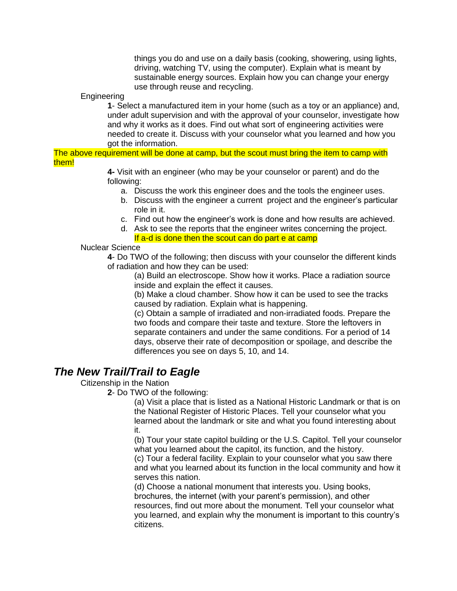things you do and use on a daily basis (cooking, showering, using lights, driving, watching TV, using the computer). Explain what is meant by sustainable energy sources. Explain how you can change your energy use through reuse and recycling.

Engineering

**1**- Select a manufactured item in your home (such as a toy or an appliance) and, under adult supervision and with the approval of your counselor, investigate how and why it works as it does. Find out what sort of engineering activities were needed to create it. Discuss with your counselor what you learned and how you got the information.

The above requirement will be done at camp, but the scout must bring the item to camp with them!

> **4-** Visit with an engineer (who may be your counselor or parent) and do the following:

- a. Discuss the work this engineer does and the tools the engineer uses.
- b. Discuss with the engineer a current project and the engineer's particular role in it.
- c. Find out how the engineer's work is done and how results are achieved.
- d. Ask to see the reports that the engineer writes concerning the project. If a-d is done then the scout can do part e at camp

#### Nuclear Science

**4**- Do TWO of the following; then discuss with your counselor the different kinds of radiation and how they can be used:

(a) Build an electroscope. Show how it works. Place a radiation source inside and explain the effect it causes.

(b) Make a cloud chamber. Show how it can be used to see the tracks caused by radiation. Explain what is happening.

(c) Obtain a sample of irradiated and non-irradiated foods. Prepare the two foods and compare their taste and texture. Store the leftovers in separate containers and under the same conditions. For a period of 14 days, observe their rate of decomposition or spoilage, and describe the differences you see on days 5, 10, and 14.

# *The New Trail/Trail to Eagle*

Citizenship in the Nation

**2**- Do TWO of the following:

(a) Visit a place that is listed as a National Historic Landmark or that is on the National Register of Historic Places. Tell your counselor what you learned about the landmark or site and what you found interesting about it.

(b) Tour your state capitol building or the U.S. Capitol. Tell your counselor what you learned about the capitol, its function, and the history.

(c) Tour a federal facility. Explain to your counselor what you saw there and what you learned about its function in the local community and how it serves this nation.

(d) Choose a national monument that interests you. Using books, brochures, the internet (with your parent's permission), and other resources, find out more about the monument. Tell your counselor what you learned, and explain why the monument is important to this country's citizens.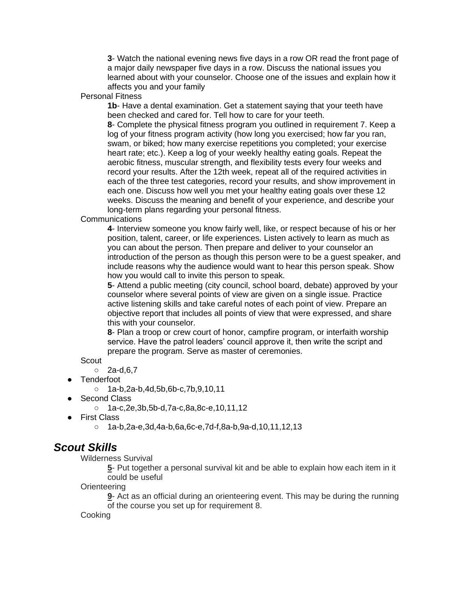**3**- Watch the national evening news five days in a row OR read the front page of a major daily newspaper five days in a row. Discuss the national issues you learned about with your counselor. Choose one of the issues and explain how it affects you and your family

Personal Fitness

**1b**- Have a dental examination. Get a statement saying that your teeth have been checked and cared for. Tell how to care for your teeth.

**8**- Complete the physical fitness program you outlined in requirement 7. Keep a log of your fitness program activity (how long you exercised; how far you ran, swam, or biked; how many exercise repetitions you completed; your exercise heart rate; etc.). Keep a log of your weekly healthy eating goals. Repeat the aerobic fitness, muscular strength, and flexibility tests every four weeks and record your results. After the 12th week, repeat all of the required activities in each of the three test categories, record your results, and show improvement in each one. Discuss how well you met your healthy eating goals over these 12 weeks. Discuss the meaning and benefit of your experience, and describe your long-term plans regarding your personal fitness.

Communications

**4**- Interview someone you know fairly well, like, or respect because of his or her position, talent, career, or life experiences. Listen actively to learn as much as you can about the person. Then prepare and deliver to your counselor an introduction of the person as though this person were to be a guest speaker, and include reasons why the audience would want to hear this person speak. Show how you would call to invite this person to speak.

**5**- Attend a public meeting (city council, school board, debate) approved by your counselor where several points of view are given on a single issue. Practice active listening skills and take careful notes of each point of view. Prepare an objective report that includes all points of view that were expressed, and share this with your counselor.

**8**- Plan a troop or crew court of honor, campfire program, or interfaith worship service. Have the patrol leaders' council approve it, then write the script and prepare the program. Serve as master of ceremonies.

Scout

 $\circ$  2a-d, 6, 7

- Tenderfoot
	- 1a-b,2a-b,4d,5b,6b-c,7b,9,10,11
- Second Class
	- 1a-c,2e,3b,5b-d,7a-c,8a,8c-e,10,11,12
- First Class
	- 1a-b,2a-e,3d,4a-b,6a,6c-e,7d-f,8a-b,9a-d,10,11,12,13

# *Scout Skills*

Wilderness Survival

**5**- Put together a personal survival kit and be able to explain how each item in it could be useful

**Orienteering** 

**9**- Act as an official during an orienteering event. This may be during the running of the course you set up for requirement 8.

**Cooking**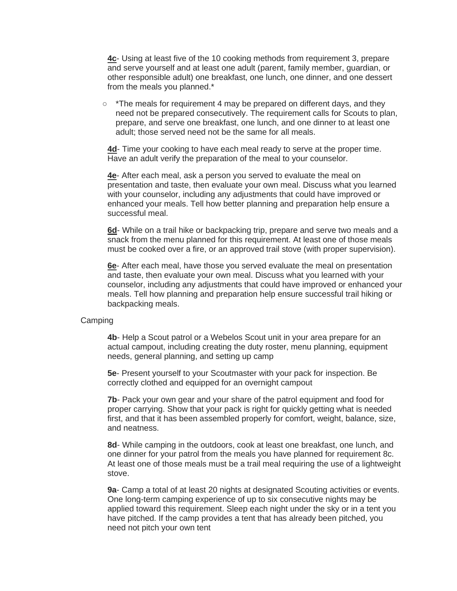**4c**- Using at least five of the 10 cooking methods from requirement 3, prepare and serve yourself and at least one adult (parent, family member, guardian, or other responsible adult) one breakfast, one lunch, one dinner, and one dessert from the meals you planned.\*

 $\circ$  \*The meals for requirement 4 may be prepared on different days, and they need not be prepared consecutively. The requirement calls for Scouts to plan, prepare, and serve one breakfast, one lunch, and one dinner to at least one adult; those served need not be the same for all meals.

**4d**- Time your cooking to have each meal ready to serve at the proper time. Have an adult verify the preparation of the meal to your counselor.

**4e**- After each meal, ask a person you served to evaluate the meal on presentation and taste, then evaluate your own meal. Discuss what you learned with your counselor, including any adjustments that could have improved or enhanced your meals. Tell how better planning and preparation help ensure a successful meal.

**6d**- While on a trail hike or backpacking trip, prepare and serve two meals and a snack from the menu planned for this requirement. At least one of those meals must be cooked over a fire, or an approved trail stove (with proper supervision).

**6e**- After each meal, have those you served evaluate the meal on presentation and taste, then evaluate your own meal. Discuss what you learned with your counselor, including any adjustments that could have improved or enhanced your meals. Tell how planning and preparation help ensure successful trail hiking or backpacking meals.

#### Camping

**4b**- Help a Scout patrol or a Webelos Scout unit in your area prepare for an actual campout, including creating the duty roster, menu planning, equipment needs, general planning, and setting up camp

**5e**- Present yourself to your Scoutmaster with your pack for inspection. Be correctly clothed and equipped for an overnight campout

**7b**- Pack your own gear and your share of the patrol equipment and food for proper carrying. Show that your pack is right for quickly getting what is needed first, and that it has been assembled properly for comfort, weight, balance, size, and neatness.

**8d**- While camping in the outdoors, cook at least one breakfast, one lunch, and one dinner for your patrol from the meals you have planned for requirement 8c. At least one of those meals must be a trail meal requiring the use of a lightweight stove.

**9a**- Camp a total of at least 20 nights at designated Scouting activities or events. One long-term camping experience of up to six consecutive nights may be applied toward this requirement. Sleep each night under the sky or in a tent you have pitched. If the camp provides a tent that has already been pitched, you need not pitch your own tent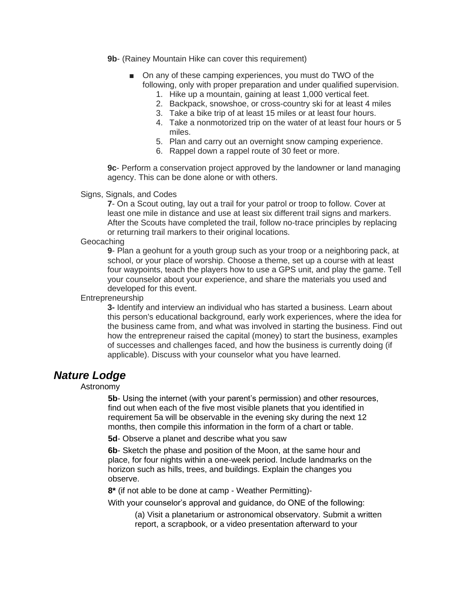- **9b** (Rainey Mountain Hike can cover this requirement)
	- On any of these camping experiences, you must do TWO of the following, only with proper preparation and under qualified supervision.
		- 1. Hike up a mountain, gaining at least 1,000 vertical feet.
		- 2. Backpack, snowshoe, or cross-country ski for at least 4 miles
		- 3. Take a bike trip of at least 15 miles or at least four hours.
		- 4. Take a nonmotorized trip on the water of at least four hours or 5 miles.
		- 5. Plan and carry out an overnight snow camping experience.
		- 6. Rappel down a rappel route of 30 feet or more.

**9c**- Perform a conservation project approved by the landowner or land managing agency. This can be done alone or with others.

#### Signs, Signals, and Codes

**7**- On a Scout outing, lay out a trail for your patrol or troop to follow. Cover at least one mile in distance and use at least six different trail signs and markers. After the Scouts have completed the trail, follow no-trace principles by replacing or returning trail markers to their original locations.

### **Geocaching**

**9**- Plan a geohunt for a youth group such as your troop or a neighboring pack, at school, or your place of worship. Choose a theme, set up a course with at least four waypoints, teach the players how to use a GPS unit, and play the game. Tell your counselor about your experience, and share the materials you used and developed for this event.

#### Entrepreneurship

**3-** Identify and interview an individual who has started a business. Learn about this person's educational background, early work experiences, where the idea for the business came from, and what was involved in starting the business. Find out how the entrepreneur raised the capital (money) to start the business, examples of successes and challenges faced, and how the business is currently doing (if applicable). Discuss with your counselor what you have learned.

## *Nature Lodge*

Astronomy

**5b**- Using the internet (with your parent's permission) and other resources, find out when each of the five most visible planets that you identified in requirement 5a will be observable in the evening sky during the next 12 months, then compile this information in the form of a chart or table.

**5d**- Observe a planet and describe what you saw

**6b**- Sketch the phase and position of the Moon, at the same hour and place, for four nights within a one-week period. Include landmarks on the horizon such as hills, trees, and buildings. Explain the changes you observe.

**8\*** (if not able to be done at camp - Weather Permitting)-

With your counselor's approval and guidance, do ONE of the following:

(a) Visit a planetarium or astronomical observatory. Submit a written report, a scrapbook, or a video presentation afterward to your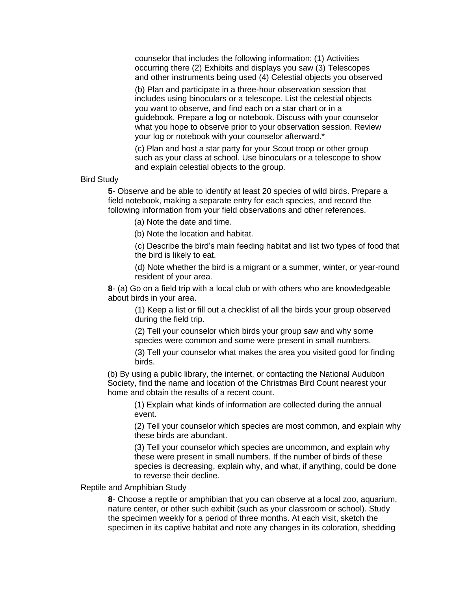counselor that includes the following information: (1) Activities occurring there (2) Exhibits and displays you saw (3) Telescopes and other instruments being used (4) Celestial objects you observed

(b) Plan and participate in a three-hour observation session that includes using binoculars or a telescope. List the celestial objects you want to observe, and find each on a star chart or in a guidebook. Prepare a log or notebook. Discuss with your counselor what you hope to observe prior to your observation session. Review your log or notebook with your counselor afterward.\*

(c) Plan and host a star party for your Scout troop or other group such as your class at school. Use binoculars or a telescope to show and explain celestial objects to the group.

#### Bird Study

**5**- Observe and be able to identify at least 20 species of wild birds. Prepare a field notebook, making a separate entry for each species, and record the following information from your field observations and other references.

(a) Note the date and time.

(b) Note the location and habitat.

(c) Describe the bird's main feeding habitat and list two types of food that the bird is likely to eat.

(d) Note whether the bird is a migrant or a summer, winter, or year-round resident of your area.

**8**- (a) Go on a field trip with a local club or with others who are knowledgeable about birds in your area.

(1) Keep a list or fill out a checklist of all the birds your group observed during the field trip.

(2) Tell your counselor which birds your group saw and why some species were common and some were present in small numbers.

(3) Tell your counselor what makes the area you visited good for finding birds.

(b) By using a public library, the internet, or contacting the National Audubon Society, find the name and location of the Christmas Bird Count nearest your home and obtain the results of a recent count.

(1) Explain what kinds of information are collected during the annual event.

(2) Tell your counselor which species are most common, and explain why these birds are abundant.

(3) Tell your counselor which species are uncommon, and explain why these were present in small numbers. If the number of birds of these species is decreasing, explain why, and what, if anything, could be done to reverse their decline.

Reptile and Amphibian Study

**8**- Choose a reptile or amphibian that you can observe at a local zoo, aquarium, nature center, or other such exhibit (such as your classroom or school). Study the specimen weekly for a period of three months. At each visit, sketch the specimen in its captive habitat and note any changes in its coloration, shedding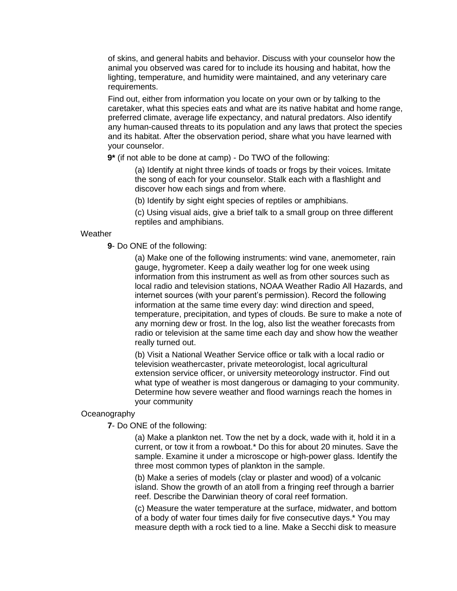of skins, and general habits and behavior. Discuss with your counselor how the animal you observed was cared for to include its housing and habitat, how the lighting, temperature, and humidity were maintained, and any veterinary care requirements.

Find out, either from information you locate on your own or by talking to the caretaker, what this species eats and what are its native habitat and home range, preferred climate, average life expectancy, and natural predators. Also identify any human-caused threats to its population and any laws that protect the species and its habitat. After the observation period, share what you have learned with your counselor.

**9\*** (if not able to be done at camp) - Do TWO of the following:

(a) Identify at night three kinds of toads or frogs by their voices. Imitate the song of each for your counselor. Stalk each with a flashlight and discover how each sings and from where.

(b) Identify by sight eight species of reptiles or amphibians.

(c) Using visual aids, give a brief talk to a small group on three different reptiles and amphibians.

#### **Weather**

**9**- Do ONE of the following:

(a) Make one of the following instruments: wind vane, anemometer, rain gauge, hygrometer. Keep a daily weather log for one week using information from this instrument as well as from other sources such as local radio and television stations, NOAA Weather Radio All Hazards, and internet sources (with your parent's permission). Record the following information at the same time every day: wind direction and speed, temperature, precipitation, and types of clouds. Be sure to make a note of any morning dew or frost. In the log, also list the weather forecasts from radio or television at the same time each day and show how the weather really turned out.

(b) Visit a National Weather Service office or talk with a local radio or television weathercaster, private meteorologist, local agricultural extension service officer, or university meteorology instructor. Find out what type of weather is most dangerous or damaging to your community. Determine how severe weather and flood warnings reach the homes in your community

#### **Oceanography**

**7**- Do ONE of the following:

(a) Make a plankton net. Tow the net by a dock, wade with it, hold it in a current, or tow it from a rowboat.\* Do this for about 20 minutes. Save the sample. Examine it under a microscope or high-power glass. Identify the three most common types of plankton in the sample.

(b) Make a series of models (clay or plaster and wood) of a volcanic island. Show the growth of an atoll from a fringing reef through a barrier reef. Describe the Darwinian theory of coral reef formation.

(c) Measure the water temperature at the surface, midwater, and bottom of a body of water four times daily for five consecutive days.\* You may measure depth with a rock tied to a line. Make a Secchi disk to measure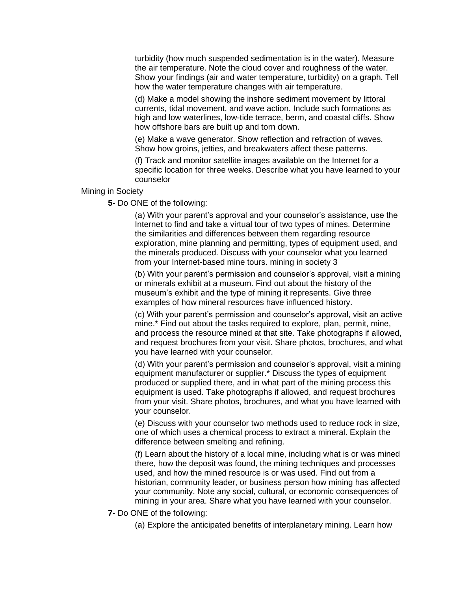turbidity (how much suspended sedimentation is in the water). Measure the air temperature. Note the cloud cover and roughness of the water. Show your findings (air and water temperature, turbidity) on a graph. Tell how the water temperature changes with air temperature.

(d) Make a model showing the inshore sediment movement by littoral currents, tidal movement, and wave action. Include such formations as high and low waterlines, low-tide terrace, berm, and coastal cliffs. Show how offshore bars are built up and torn down.

(e) Make a wave generator. Show reflection and refraction of waves. Show how groins, jetties, and breakwaters affect these patterns.

(f) Track and monitor satellite images available on the Internet for a specific location for three weeks. Describe what you have learned to your counselor

#### Mining in Society

**5**- Do ONE of the following:

(a) With your parent's approval and your counselor's assistance, use the Internet to find and take a virtual tour of two types of mines. Determine the similarities and differences between them regarding resource exploration, mine planning and permitting, types of equipment used, and the minerals produced. Discuss with your counselor what you learned from your Internet-based mine tours. mining in society 3

(b) With your parent's permission and counselor's approval, visit a mining or minerals exhibit at a museum. Find out about the history of the museum's exhibit and the type of mining it represents. Give three examples of how mineral resources have influenced history.

(c) With your parent's permission and counselor's approval, visit an active mine.\* Find out about the tasks required to explore, plan, permit, mine, and process the resource mined at that site. Take photographs if allowed, and request brochures from your visit. Share photos, brochures, and what you have learned with your counselor.

(d) With your parent's permission and counselor's approval, visit a mining equipment manufacturer or supplier.\* Discuss the types of equipment produced or supplied there, and in what part of the mining process this equipment is used. Take photographs if allowed, and request brochures from your visit. Share photos, brochures, and what you have learned with your counselor.

(e) Discuss with your counselor two methods used to reduce rock in size, one of which uses a chemical process to extract a mineral. Explain the difference between smelting and refining.

(f) Learn about the history of a local mine, including what is or was mined there, how the deposit was found, the mining techniques and processes used, and how the mined resource is or was used. Find out from a historian, community leader, or business person how mining has affected your community. Note any social, cultural, or economic consequences of mining in your area. Share what you have learned with your counselor.

**7**- Do ONE of the following:

(a) Explore the anticipated benefits of interplanetary mining. Learn how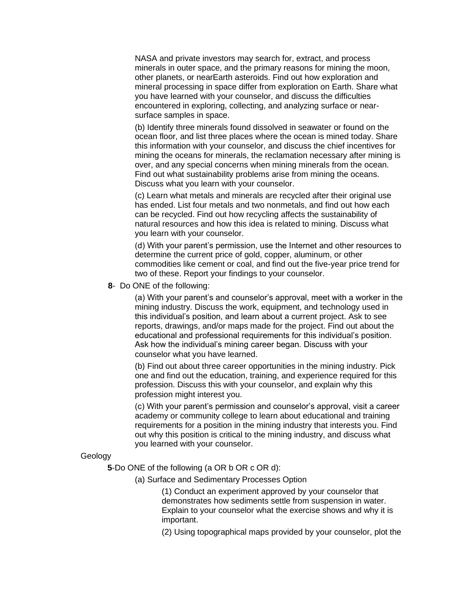NASA and private investors may search for, extract, and process minerals in outer space, and the primary reasons for mining the moon, other planets, or nearEarth asteroids. Find out how exploration and mineral processing in space differ from exploration on Earth. Share what you have learned with your counselor, and discuss the difficulties encountered in exploring, collecting, and analyzing surface or nearsurface samples in space.

(b) Identify three minerals found dissolved in seawater or found on the ocean floor, and list three places where the ocean is mined today. Share this information with your counselor, and discuss the chief incentives for mining the oceans for minerals, the reclamation necessary after mining is over, and any special concerns when mining minerals from the ocean. Find out what sustainability problems arise from mining the oceans. Discuss what you learn with your counselor.

(c) Learn what metals and minerals are recycled after their original use has ended. List four metals and two nonmetals, and find out how each can be recycled. Find out how recycling affects the sustainability of natural resources and how this idea is related to mining. Discuss what you learn with your counselor.

(d) With your parent's permission, use the Internet and other resources to determine the current price of gold, copper, aluminum, or other commodities like cement or coal, and find out the five-year price trend for two of these. Report your findings to your counselor.

**8**- Do ONE of the following:

(a) With your parent's and counselor's approval, meet with a worker in the mining industry. Discuss the work, equipment, and technology used in this individual's position, and learn about a current project. Ask to see reports, drawings, and/or maps made for the project. Find out about the educational and professional requirements for this individual's position. Ask how the individual's mining career began. Discuss with your counselor what you have learned.

(b) Find out about three career opportunities in the mining industry. Pick one and find out the education, training, and experience required for this profession. Discuss this with your counselor, and explain why this profession might interest you.

(c) With your parent's permission and counselor's approval, visit a career academy or community college to learn about educational and training requirements for a position in the mining industry that interests you. Find out why this position is critical to the mining industry, and discuss what you learned with your counselor.

### Geology

**5**-Do ONE of the following (a OR b OR c OR d):

(a) Surface and Sedimentary Processes Option

(1) Conduct an experiment approved by your counselor that demonstrates how sediments settle from suspension in water. Explain to your counselor what the exercise shows and why it is important.

(2) Using topographical maps provided by your counselor, plot the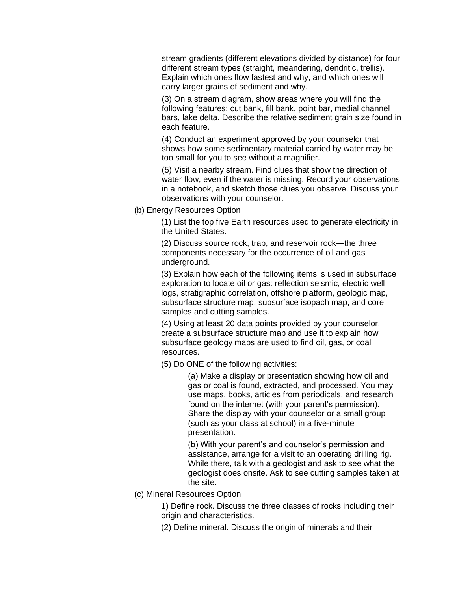stream gradients (different elevations divided by distance) for four different stream types (straight, meandering, dendritic, trellis). Explain which ones flow fastest and why, and which ones will carry larger grains of sediment and why.

(3) On a stream diagram, show areas where you will find the following features: cut bank, fill bank, point bar, medial channel bars, lake delta. Describe the relative sediment grain size found in each feature.

(4) Conduct an experiment approved by your counselor that shows how some sedimentary material carried by water may be too small for you to see without a magnifier.

(5) Visit a nearby stream. Find clues that show the direction of water flow, even if the water is missing. Record your observations in a notebook, and sketch those clues you observe. Discuss your observations with your counselor.

(b) Energy Resources Option

(1) List the top five Earth resources used to generate electricity in the United States.

(2) Discuss source rock, trap, and reservoir rock—the three components necessary for the occurrence of oil and gas underground.

(3) Explain how each of the following items is used in subsurface exploration to locate oil or gas: reflection seismic, electric well logs, stratigraphic correlation, offshore platform, geologic map, subsurface structure map, subsurface isopach map, and core samples and cutting samples.

(4) Using at least 20 data points provided by your counselor, create a subsurface structure map and use it to explain how subsurface geology maps are used to find oil, gas, or coal resources.

(5) Do ONE of the following activities:

(a) Make a display or presentation showing how oil and gas or coal is found, extracted, and processed. You may use maps, books, articles from periodicals, and research found on the internet (with your parent's permission). Share the display with your counselor or a small group (such as your class at school) in a five-minute presentation.

(b) With your parent's and counselor's permission and assistance, arrange for a visit to an operating drilling rig. While there, talk with a geologist and ask to see what the geologist does onsite. Ask to see cutting samples taken at the site.

(c) Mineral Resources Option

1) Define rock. Discuss the three classes of rocks including their origin and characteristics.

(2) Define mineral. Discuss the origin of minerals and their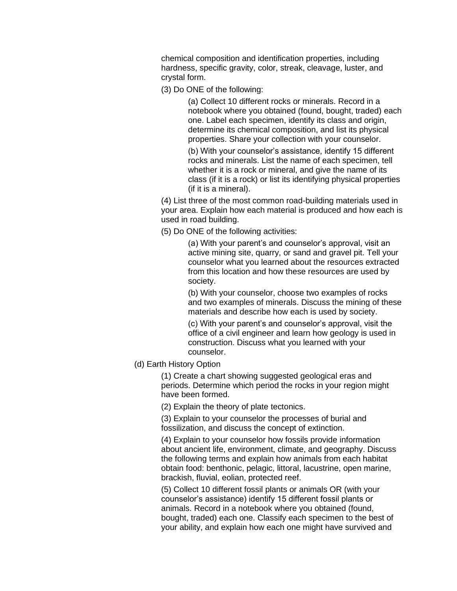chemical composition and identification properties, including hardness, specific gravity, color, streak, cleavage, luster, and crystal form.

(3) Do ONE of the following:

(a) Collect 10 different rocks or minerals. Record in a notebook where you obtained (found, bought, traded) each one. Label each specimen, identify its class and origin, determine its chemical composition, and list its physical properties. Share your collection with your counselor.

(b) With your counselor's assistance, identify 15 different rocks and minerals. List the name of each specimen, tell whether it is a rock or mineral, and give the name of its class (if it is a rock) or list its identifying physical properties (if it is a mineral).

(4) List three of the most common road-building materials used in your area. Explain how each material is produced and how each is used in road building.

(5) Do ONE of the following activities:

(a) With your parent's and counselor's approval, visit an active mining site, quarry, or sand and gravel pit. Tell your counselor what you learned about the resources extracted from this location and how these resources are used by society.

(b) With your counselor, choose two examples of rocks and two examples of minerals. Discuss the mining of these materials and describe how each is used by society.

(c) With your parent's and counselor's approval, visit the office of a civil engineer and learn how geology is used in construction. Discuss what you learned with your counselor.

(d) Earth History Option

(1) Create a chart showing suggested geological eras and periods. Determine which period the rocks in your region might have been formed.

(2) Explain the theory of plate tectonics.

(3) Explain to your counselor the processes of burial and fossilization, and discuss the concept of extinction.

(4) Explain to your counselor how fossils provide information about ancient life, environment, climate, and geography. Discuss the following terms and explain how animals from each habitat obtain food: benthonic, pelagic, littoral, lacustrine, open marine, brackish, fluvial, eolian, protected reef.

(5) Collect 10 different fossil plants or animals OR (with your counselor's assistance) identify 15 different fossil plants or animals. Record in a notebook where you obtained (found, bought, traded) each one. Classify each specimen to the best of your ability, and explain how each one might have survived and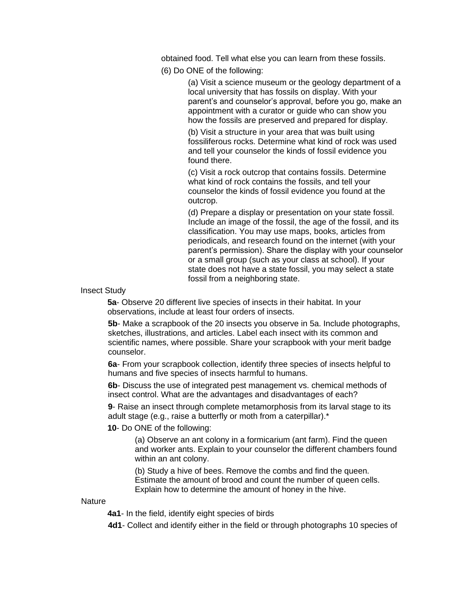obtained food. Tell what else you can learn from these fossils.

(6) Do ONE of the following:

(a) Visit a science museum or the geology department of a local university that has fossils on display. With your parent's and counselor's approval, before you go, make an appointment with a curator or guide who can show you how the fossils are preserved and prepared for display.

(b) Visit a structure in your area that was built using fossiliferous rocks. Determine what kind of rock was used and tell your counselor the kinds of fossil evidence you found there.

(c) Visit a rock outcrop that contains fossils. Determine what kind of rock contains the fossils, and tell your counselor the kinds of fossil evidence you found at the outcrop.

(d) Prepare a display or presentation on your state fossil. Include an image of the fossil, the age of the fossil, and its classification. You may use maps, books, articles from periodicals, and research found on the internet (with your parent's permission). Share the display with your counselor or a small group (such as your class at school). If your state does not have a state fossil, you may select a state fossil from a neighboring state.

### Insect Study

**5a**- Observe 20 different live species of insects in their habitat. In your observations, include at least four orders of insects.

**5b**- Make a scrapbook of the 20 insects you observe in 5a. Include photographs, sketches, illustrations, and articles. Label each insect with its common and scientific names, where possible. Share your scrapbook with your merit badge counselor.

**6a**- From your scrapbook collection, identify three species of insects helpful to humans and five species of insects harmful to humans.

**6b**- Discuss the use of integrated pest management vs. chemical methods of insect control. What are the advantages and disadvantages of each?

**9**- Raise an insect through complete metamorphosis from its larval stage to its adult stage (e.g., raise a butterfly or moth from a caterpillar).\*

**10**- Do ONE of the following:

(a) Observe an ant colony in a formicarium (ant farm). Find the queen and worker ants. Explain to your counselor the different chambers found within an ant colony.

(b) Study a hive of bees. Remove the combs and find the queen. Estimate the amount of brood and count the number of queen cells. Explain how to determine the amount of honey in the hive.

**Nature** 

**4a1**- In the field, identify eight species of birds

**4d1**- Collect and identify either in the field or through photographs 10 species of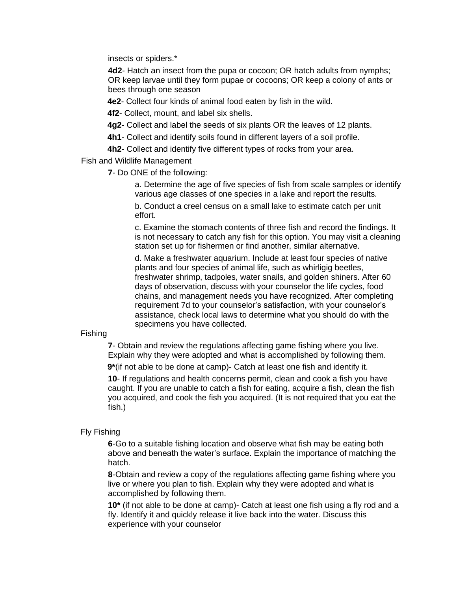insects or spiders.\*

**4d2**- Hatch an insect from the pupa or cocoon; OR hatch adults from nymphs; OR keep larvae until they form pupae or cocoons; OR keep a colony of ants or bees through one season

**4e2**- Collect four kinds of animal food eaten by fish in the wild.

**4f2**- Collect, mount, and label six shells.

**4g2**- Collect and label the seeds of six plants OR the leaves of 12 plants.

**4h1**- Collect and identify soils found in different layers of a soil profile.

**4h2**- Collect and identify five different types of rocks from your area.

Fish and Wildlife Management

**7**- Do ONE of the following:

a. Determine the age of five species of fish from scale samples or identify various age classes of one species in a lake and report the results.

b. Conduct a creel census on a small lake to estimate catch per unit effort.

c. Examine the stomach contents of three fish and record the findings. It is not necessary to catch any fish for this option. You may visit a cleaning station set up for fishermen or find another, similar alternative.

d. Make a freshwater aquarium. Include at least four species of native plants and four species of animal life, such as whirligig beetles, freshwater shrimp, tadpoles, water snails, and golden shiners. After 60 days of observation, discuss with your counselor the life cycles, food chains, and management needs you have recognized. After completing requirement 7d to your counselor's satisfaction, with your counselor's assistance, check local laws to determine what you should do with the specimens you have collected.

### **Fishing**

**7**- Obtain and review the regulations affecting game fishing where you live. Explain why they were adopted and what is accomplished by following them.

**9\***(if not able to be done at camp)- Catch at least one fish and identify it.

**10**- If regulations and health concerns permit, clean and cook a fish you have caught. If you are unable to catch a fish for eating, acquire a fish, clean the fish you acquired, and cook the fish you acquired. (It is not required that you eat the fish.)

#### Fly Fishing

**6**-Go to a suitable fishing location and observe what fish may be eating both above and beneath the water's surface. Explain the importance of matching the hatch.

**8**-Obtain and review a copy of the regulations affecting game fishing where you live or where you plan to fish. Explain why they were adopted and what is accomplished by following them.

**10\*** (if not able to be done at camp)- Catch at least one fish using a fly rod and a fly. Identify it and quickly release it live back into the water. Discuss this experience with your counselor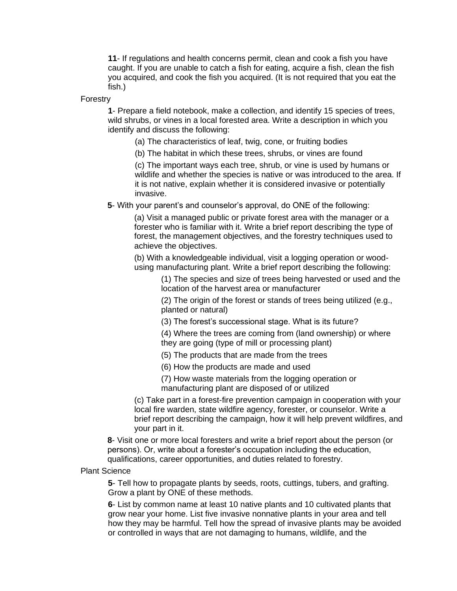**11**- If regulations and health concerns permit, clean and cook a fish you have caught. If you are unable to catch a fish for eating, acquire a fish, clean the fish you acquired, and cook the fish you acquired. (It is not required that you eat the fish.)

Forestry

**1**- Prepare a field notebook, make a collection, and identify 15 species of trees, wild shrubs, or vines in a local forested area. Write a description in which you identify and discuss the following:

- (a) The characteristics of leaf, twig, cone, or fruiting bodies
- (b) The habitat in which these trees, shrubs, or vines are found

(c) The important ways each tree, shrub, or vine is used by humans or wildlife and whether the species is native or was introduced to the area. If it is not native, explain whether it is considered invasive or potentially invasive.

**5**- With your parent's and counselor's approval, do ONE of the following:

(a) Visit a managed public or private forest area with the manager or a forester who is familiar with it. Write a brief report describing the type of forest, the management objectives, and the forestry techniques used to achieve the objectives.

(b) With a knowledgeable individual, visit a logging operation or woodusing manufacturing plant. Write a brief report describing the following:

> (1) The species and size of trees being harvested or used and the location of the harvest area or manufacturer

(2) The origin of the forest or stands of trees being utilized (e.g., planted or natural)

(3) The forest's successional stage. What is its future?

(4) Where the trees are coming from (land ownership) or where they are going (type of mill or processing plant)

- (5) The products that are made from the trees
- (6) How the products are made and used

(7) How waste materials from the logging operation or manufacturing plant are disposed of or utilized

(c) Take part in a forest-fire prevention campaign in cooperation with your local fire warden, state wildfire agency, forester, or counselor. Write a brief report describing the campaign, how it will help prevent wildfires, and your part in it.

**8**- Visit one or more local foresters and write a brief report about the person (or persons). Or, write about a forester's occupation including the education, qualifications, career opportunities, and duties related to forestry.

### Plant Science

**5**- Tell how to propagate plants by seeds, roots, cuttings, tubers, and grafting. Grow a plant by ONE of these methods.

**6**- List by common name at least 10 native plants and 10 cultivated plants that grow near your home. List five invasive nonnative plants in your area and tell how they may be harmful. Tell how the spread of invasive plants may be avoided or controlled in ways that are not damaging to humans, wildlife, and the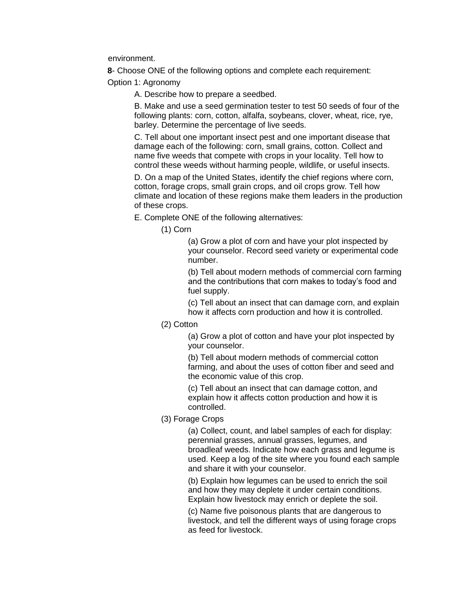environment.

**8**- Choose ONE of the following options and complete each requirement:

Option 1: Agronomy

A. Describe how to prepare a seedbed.

B. Make and use a seed germination tester to test 50 seeds of four of the following plants: corn, cotton, alfalfa, soybeans, clover, wheat, rice, rye, barley. Determine the percentage of live seeds.

C. Tell about one important insect pest and one important disease that damage each of the following: corn, small grains, cotton. Collect and name five weeds that compete with crops in your locality. Tell how to control these weeds without harming people, wildlife, or useful insects.

D. On a map of the United States, identify the chief regions where corn, cotton, forage crops, small grain crops, and oil crops grow. Tell how climate and location of these regions make them leaders in the production of these crops.

E. Complete ONE of the following alternatives:

(1) Corn

(a) Grow a plot of corn and have your plot inspected by your counselor. Record seed variety or experimental code number.

(b) Tell about modern methods of commercial corn farming and the contributions that corn makes to today's food and fuel supply.

(c) Tell about an insect that can damage corn, and explain how it affects corn production and how it is controlled.

(2) Cotton

(a) Grow a plot of cotton and have your plot inspected by your counselor.

(b) Tell about modern methods of commercial cotton farming, and about the uses of cotton fiber and seed and the economic value of this crop.

(c) Tell about an insect that can damage cotton, and explain how it affects cotton production and how it is controlled.

(3) Forage Crops

(a) Collect, count, and label samples of each for display: perennial grasses, annual grasses, legumes, and broadleaf weeds. Indicate how each grass and legume is used. Keep a log of the site where you found each sample and share it with your counselor.

(b) Explain how legumes can be used to enrich the soil and how they may deplete it under certain conditions. Explain how livestock may enrich or deplete the soil.

(c) Name five poisonous plants that are dangerous to livestock, and tell the different ways of using forage crops as feed for livestock.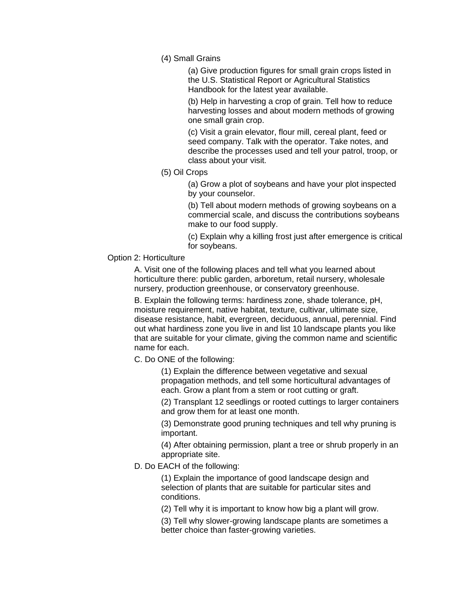(4) Small Grains

(a) Give production figures for small grain crops listed in the U.S. Statistical Report or Agricultural Statistics Handbook for the latest year available.

(b) Help in harvesting a crop of grain. Tell how to reduce harvesting losses and about modern methods of growing one small grain crop.

(c) Visit a grain elevator, flour mill, cereal plant, feed or seed company. Talk with the operator. Take notes, and describe the processes used and tell your patrol, troop, or class about your visit.

(5) Oil Crops

(a) Grow a plot of soybeans and have your plot inspected by your counselor.

(b) Tell about modern methods of growing soybeans on a commercial scale, and discuss the contributions soybeans make to our food supply.

(c) Explain why a killing frost just after emergence is critical for soybeans.

Option 2: Horticulture

A. Visit one of the following places and tell what you learned about horticulture there: public garden, arboretum, retail nursery, wholesale nursery, production greenhouse, or conservatory greenhouse.

B. Explain the following terms: hardiness zone, shade tolerance, pH, moisture requirement, native habitat, texture, cultivar, ultimate size, disease resistance, habit, evergreen, deciduous, annual, perennial. Find out what hardiness zone you live in and list 10 landscape plants you like that are suitable for your climate, giving the common name and scientific name for each.

C. Do ONE of the following:

(1) Explain the difference between vegetative and sexual propagation methods, and tell some horticultural advantages of each. Grow a plant from a stem or root cutting or graft.

(2) Transplant 12 seedlings or rooted cuttings to larger containers and grow them for at least one month.

(3) Demonstrate good pruning techniques and tell why pruning is important.

(4) After obtaining permission, plant a tree or shrub properly in an appropriate site.

D. Do EACH of the following:

(1) Explain the importance of good landscape design and selection of plants that are suitable for particular sites and conditions.

(2) Tell why it is important to know how big a plant will grow.

(3) Tell why slower-growing landscape plants are sometimes a better choice than faster-growing varieties.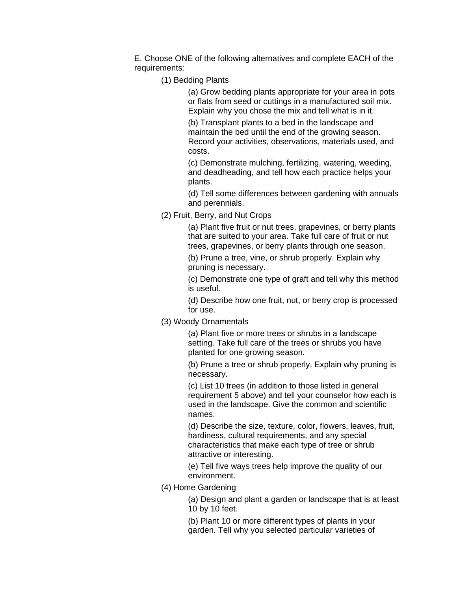E. Choose ONE of the following alternatives and complete EACH of the requirements:

(1) Bedding Plants

(a) Grow bedding plants appropriate for your area in pots or flats from seed or cuttings in a manufactured soil mix. Explain why you chose the mix and tell what is in it.

(b) Transplant plants to a bed in the landscape and maintain the bed until the end of the growing season. Record your activities, observations, materials used, and costs.

(c) Demonstrate mulching, fertilizing, watering, weeding, and deadheading, and tell how each practice helps your plants.

(d) Tell some differences between gardening with annuals and perennials.

(2) Fruit, Berry, and Nut Crops

(a) Plant five fruit or nut trees, grapevines, or berry plants that are suited to your area. Take full care of fruit or nut trees, grapevines, or berry plants through one season.

(b) Prune a tree, vine, or shrub properly. Explain why pruning is necessary.

(c) Demonstrate one type of graft and tell why this method is useful.

(d) Describe how one fruit, nut, or berry crop is processed for use.

(3) Woody Ornamentals

(a) Plant five or more trees or shrubs in a landscape setting. Take full care of the trees or shrubs you have planted for one growing season.

(b) Prune a tree or shrub properly. Explain why pruning is necessary.

(c) List 10 trees (in addition to those listed in general requirement 5 above) and tell your counselor how each is used in the landscape. Give the common and scientific names.

(d) Describe the size, texture, color, flowers, leaves, fruit, hardiness, cultural requirements, and any special characteristics that make each type of tree or shrub attractive or interesting.

(e) Tell five ways trees help improve the quality of our environment.

(4) Home Gardening

(a) Design and plant a garden or landscape that is at least 10 by 10 feet.

(b) Plant 10 or more different types of plants in your garden. Tell why you selected particular varieties of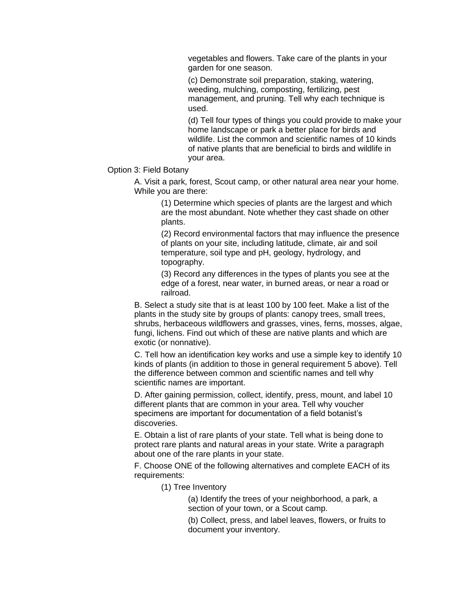vegetables and flowers. Take care of the plants in your garden for one season.

(c) Demonstrate soil preparation, staking, watering, weeding, mulching, composting, fertilizing, pest management, and pruning. Tell why each technique is used.

(d) Tell four types of things you could provide to make your home landscape or park a better place for birds and wildlife. List the common and scientific names of 10 kinds of native plants that are beneficial to birds and wildlife in your area.

Option 3: Field Botany

A. Visit a park, forest, Scout camp, or other natural area near your home. While you are there:

> (1) Determine which species of plants are the largest and which are the most abundant. Note whether they cast shade on other plants.

(2) Record environmental factors that may influence the presence of plants on your site, including latitude, climate, air and soil temperature, soil type and pH, geology, hydrology, and topography.

(3) Record any differences in the types of plants you see at the edge of a forest, near water, in burned areas, or near a road or railroad.

B. Select a study site that is at least 100 by 100 feet. Make a list of the plants in the study site by groups of plants: canopy trees, small trees, shrubs, herbaceous wildflowers and grasses, vines, ferns, mosses, algae, fungi, lichens. Find out which of these are native plants and which are exotic (or nonnative).

C. Tell how an identification key works and use a simple key to identify 10 kinds of plants (in addition to those in general requirement 5 above). Tell the difference between common and scientific names and tell why scientific names are important.

D. After gaining permission, collect, identify, press, mount, and label 10 different plants that are common in your area. Tell why voucher specimens are important for documentation of a field botanist's discoveries.

E. Obtain a list of rare plants of your state. Tell what is being done to protect rare plants and natural areas in your state. Write a paragraph about one of the rare plants in your state.

F. Choose ONE of the following alternatives and complete EACH of its requirements:

(1) Tree Inventory

(a) Identify the trees of your neighborhood, a park, a section of your town, or a Scout camp.

(b) Collect, press, and label leaves, flowers, or fruits to document your inventory.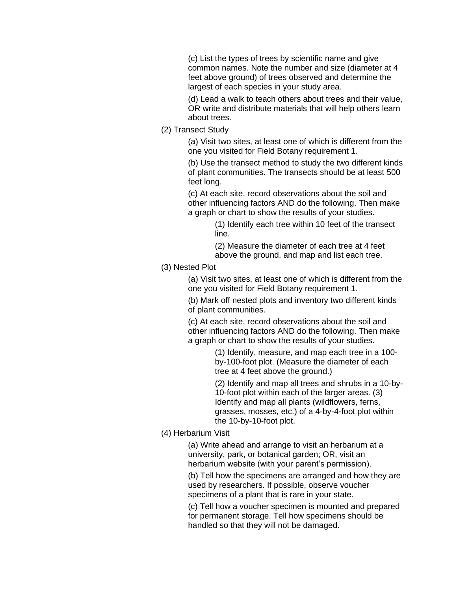(c) List the types of trees by scientific name and give common names. Note the number and size (diameter at 4 feet above ground) of trees observed and determine the largest of each species in your study area.

(d) Lead a walk to teach others about trees and their value, OR write and distribute materials that will help others learn about trees.

(2) Transect Study

(a) Visit two sites, at least one of which is different from the one you visited for Field Botany requirement 1.

(b) Use the transect method to study the two different kinds of plant communities. The transects should be at least 500 feet long.

(c) At each site, record observations about the soil and other influencing factors AND do the following. Then make a graph or chart to show the results of your studies.

> (1) Identify each tree within 10 feet of the transect line.

(2) Measure the diameter of each tree at 4 feet above the ground, and map and list each tree.

(3) Nested Plot

(a) Visit two sites, at least one of which is different from the one you visited for Field Botany requirement 1.

(b) Mark off nested plots and inventory two different kinds of plant communities.

(c) At each site, record observations about the soil and other influencing factors AND do the following. Then make a graph or chart to show the results of your studies.

> (1) Identify, measure, and map each tree in a 100 by-100-foot plot. (Measure the diameter of each tree at 4 feet above the ground.)

(2) Identify and map all trees and shrubs in a 10-by-10-foot plot within each of the larger areas. (3) Identify and map all plants (wildflowers, ferns, grasses, mosses, etc.) of a 4-by-4-foot plot within the 10-by-10-foot plot.

### (4) Herbarium Visit

(a) Write ahead and arrange to visit an herbarium at a university, park, or botanical garden; OR, visit an herbarium website (with your parent's permission).

(b) Tell how the specimens are arranged and how they are used by researchers. If possible, observe voucher specimens of a plant that is rare in your state.

(c) Tell how a voucher specimen is mounted and prepared for permanent storage. Tell how specimens should be handled so that they will not be damaged.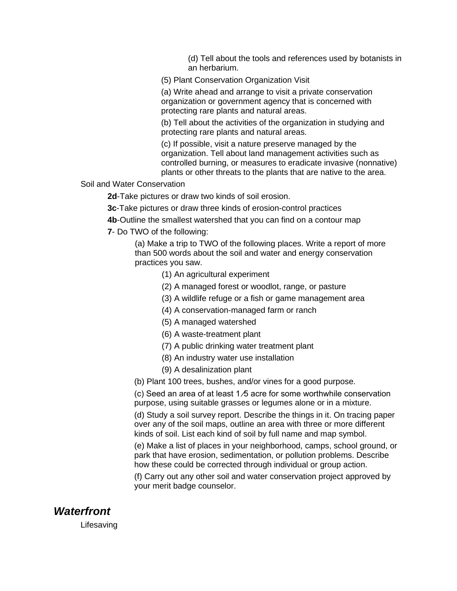(d) Tell about the tools and references used by botanists in an herbarium.

(5) Plant Conservation Organization Visit

(a) Write ahead and arrange to visit a private conservation organization or government agency that is concerned with protecting rare plants and natural areas.

(b) Tell about the activities of the organization in studying and protecting rare plants and natural areas.

(c) If possible, visit a nature preserve managed by the organization. Tell about land management activities such as controlled burning, or measures to eradicate invasive (nonnative) plants or other threats to the plants that are native to the area.

Soil and Water Conservation

**2d**-Take pictures or draw two kinds of soil erosion.

**3c**-Take pictures or draw three kinds of erosion-control practices

**4b**-Outline the smallest watershed that you can find on a contour map

**7**- Do TWO of the following:

(a) Make a trip to TWO of the following places. Write a report of more than 500 words about the soil and water and energy conservation practices you saw.

- (1) An agricultural experiment
- (2) A managed forest or woodlot, range, or pasture
- (3) A wildlife refuge or a fish or game management area
- (4) A conservation-managed farm or ranch
- (5) A managed watershed
- (6) A waste-treatment plant
- (7) A public drinking water treatment plant
- (8) An industry water use installation
- (9) A desalinization plant

(b) Plant 100 trees, bushes, and/or vines for a good purpose.

(c) Seed an area of at least 1 ⁄5 acre for some worthwhile conservation purpose, using suitable grasses or legumes alone or in a mixture.

(d) Study a soil survey report. Describe the things in it. On tracing paper over any of the soil maps, outline an area with three or more different kinds of soil. List each kind of soil by full name and map symbol.

(e) Make a list of places in your neighborhood, camps, school ground, or park that have erosion, sedimentation, or pollution problems. Describe how these could be corrected through individual or group action.

(f) Carry out any other soil and water conservation project approved by your merit badge counselor.

*Waterfront*

Lifesaving